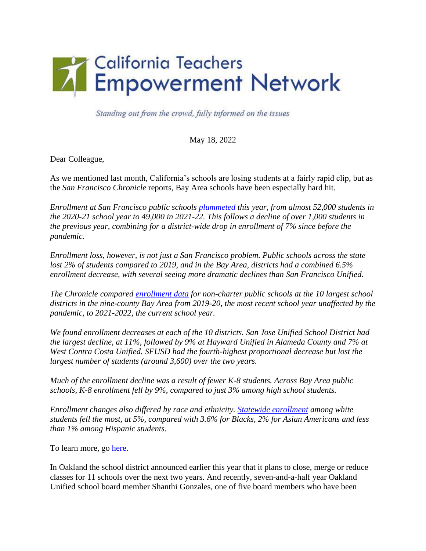

Standing out from the crowd, fully informed on the issues

May 18, 2022

Dear Colleague,

As we mentioned last month, California's schools are losing students at a fairly rapid clip, but as the *San Francisco Chronicle* reports, Bay Area schools have been especially hard hit.

*Enrollment at San Francisco public schools [plummeted](about:blank) this year, from almost 52,000 students in the 2020-21 school year to 49,000 in 2021-22. This follows a decline of over 1,000 students in the previous year, combining for a district-wide drop in enrollment of 7% since before the pandemic.*

*Enrollment loss, however, is not just a San Francisco problem. Public schools across the state lost 2% of students compared to 2019, and in the Bay Area, districts had a combined 6.5% enrollment decrease, with several seeing more dramatic declines than San Francisco Unified.*

*The Chronicle compared [enrollment data](about:blank) for non-charter public schools at the 10 largest school districts in the nine-county Bay Area from 2019-20, the most recent school year unaffected by the pandemic, to 2021-2022, the current school year.*

*We found enrollment decreases at each of the 10 districts. San Jose Unified School District had the largest decline, at 11%, followed by 9% at Hayward Unified in Alameda County and 7% at West Contra Costa Unified. SFUSD had the fourth-highest proportional decrease but lost the largest number of students (around 3,600) over the two years.*

*Much of the enrollment decline was a result of fewer K-8 students. Across Bay Area public schools, K-8 enrollment fell by 9%, compared to just 3% among high school students.*

*Enrollment changes also differed by race and ethnicity. [Statewide enrollment](about:blank) among white students fell the most, at 5%, compared with 3.6% for Blacks, 2% for Asian Americans and less than 1% among Hispanic students.*

To learn more, go [here.](about:blank)

In Oakland the school district announced earlier this year that it plans to close, merge or reduce classes for 11 schools over the next two years. And recently, seven-and-a-half year Oakland Unified school board member Shanthi Gonzales, one of five board members who have been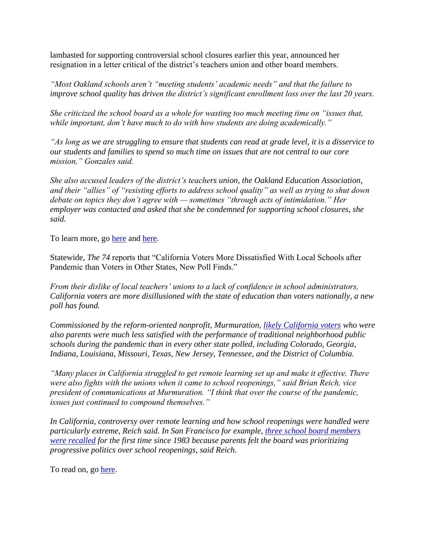lambasted for supporting controversial school closures earlier this year, announced her resignation in a letter critical of the district's teachers union and other board members.

*"Most Oakland schools aren't "meeting students' academic needs" and that the failure to improve school quality has driven the district's significant enrollment loss over the last 20 years.*

*She criticized the school board as a whole for wasting too much meeting time on "issues that, while important, don't have much to do with how students are doing academically."*

*"As long as we are struggling to ensure that students can read at grade level, it is a disservice to our students and families to spend so much time on issues that are not central to our core mission," Gonzales said.*

*She also accused leaders of the district's teachers union, the Oakland Education Association, and their "allies" of "resisting efforts to address school quality" as well as trying to shut down debate on topics they don't agree with — sometimes "through acts of intimidation." Her employer was contacted and asked that she be condemned for supporting school closures, she said.*

To learn more, go [here](about:blank) and [here.](about:blank)

Statewide, *The 74* reports that "California Voters More Dissatisfied With Local Schools after Pandemic than Voters in Other States, New Poll Finds."

*From their dislike of local teachers' unions to a lack of confidence in school administrators, California voters are more disillusioned with the state of education than voters nationally, a new poll has found.* 

*Commissioned by the reform-oriented nonprofit, Murmuration, [likely California voters](about:blank) who were also parents were much less satisfied with the performance of traditional neighborhood public schools during the pandemic than in every other state polled, including Colorado, Georgia, Indiana, Louisiana, Missouri, Texas, New Jersey, Tennessee, and the District of Columbia.*

*"Many places in California struggled to get remote learning set up and make it effective. There were also fights with the unions when it came to school reopenings," said Brian Reich, vice president of communications at Murmuration. "I think that over the course of the pandemic, issues just continued to compound themselves."*

*In California, controversy over remote learning and how school reopenings were handled were particularly extreme, Reich said. In San Francisco for example, [three school board members](about:blank)  [were recalled](about:blank) for the first time since 1983 because parents felt the board was prioritizing progressive politics over school reopenings, said Reich.*

To read on, go [here.](about:blank)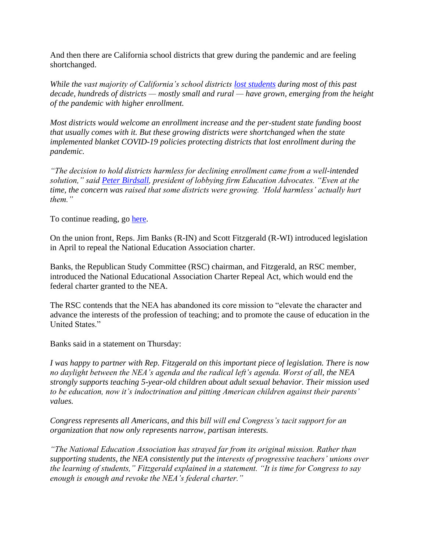And then there are California school districts that grew during the pandemic and are feeling shortchanged.

*While the vast majority of California's school districts [lost students](about:blank) during most of this past decade, hundreds of districts — mostly small and rural — have grown, emerging from the height of the pandemic with higher enrollment.*

*Most districts would welcome an enrollment increase and the per-student state funding boost that usually comes with it. But these growing districts were shortchanged when the state implemented blanket COVID-19 policies protecting districts that lost enrollment during the pandemic.* 

*"The decision to hold districts harmless for declining enrollment came from a well-intended solution," said [Peter Birdsall,](about:blank) president of lobbying firm Education Advocates. "Even at the time, the concern was raised that some districts were growing. 'Hold harmless' actually hurt them."*

To continue reading, go [here.](about:blank)

On the union front, Reps. Jim Banks (R-IN) and Scott Fitzgerald (R-WI) introduced legislation in April to repeal the National Education Association charter.

Banks, the Republican Study Committee (RSC) chairman, and Fitzgerald, an RSC member, introduced the National Educational Association Charter Repeal Act, which would end the federal charter granted to the NEA.

The RSC contends that the NEA has abandoned its core mission to "elevate the character and advance the interests of the profession of teaching; and to promote the cause of education in the United States."

Banks said in a statement on Thursday:

*I was happy to partner with Rep. Fitzgerald on this important piece of legislation. There is now no daylight between the NEA's agenda and the radical left's agenda. Worst of all, the NEA strongly supports teaching 5-year-old children about adult sexual behavior. Their mission used to be education, now it's indoctrination and pitting American children against their parents' values.*

*Congress represents all Americans, and this bill will end Congress's tacit support for an organization that now only represents narrow, partisan interests.*

*"The National Education Association has strayed far from its original mission. Rather than supporting students, the NEA consistently put the interests of progressive teachers' unions over the learning of students," Fitzgerald explained in a statement. "It is time for Congress to say enough is enough and revoke the NEA's federal charter."*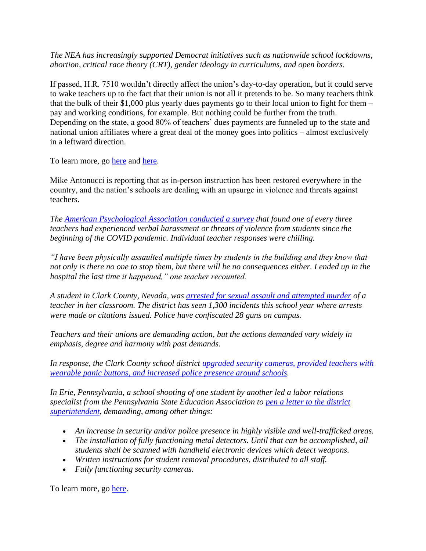*The NEA has increasingly supported Democrat initiatives such as nationwide school lockdowns, abortion, critical race theory (CRT), gender ideology in curriculums, and open borders.*

If passed, H.R. 7510 wouldn't directly affect the union's day-to-day operation, but it could serve to wake teachers up to the fact that their union is not all it pretends to be. So many teachers think that the bulk of their \$1,000 plus yearly dues payments go to their local union to fight for them – pay and working conditions, for example. But nothing could be further from the truth. Depending on the state, a good 80% of teachers' dues payments are funneled up to the state and national union affiliates where a great deal of the money goes into politics – almost exclusively in a leftward direction.

To learn more, go [here](about:blank) and [here.](about:blank)

Mike Antonucci is reporting that as in-person instruction has been restored everywhere in the country, and the nation's schools are dealing with an upsurge in violence and threats against teachers.

*The [American Psychological Association conducted a survey](about:blank) that found one of every three teachers had experienced verbal harassment or threats of violence from students since the beginning of the COVID pandemic. Individual teacher responses were chilling.*

*"I have been physically assaulted multiple times by students in the building and they know that not only is there no one to stop them, but there will be no consequences either. I ended up in the hospital the last time it happened," one teacher recounted.*

*A student in Clark County, Nevada, was [arrested for sexual assault and attempted murder](about:blank) of a teacher in her classroom. The district has seen 1,300 incidents this school year where arrests were made or citations issued. Police have confiscated 28 guns on campus.*

*Teachers and their unions are demanding action, but the actions demanded vary widely in emphasis, degree and harmony with past demands.*

*In response, the Clark County school district [upgraded security cameras, provided teachers with](about:blank)  [wearable panic buttons, and increased police presence around schools.](about:blank)*

*In Erie, Pennsylvania, a school shooting of one student by another led a labor relations specialist from the Pennsylvania State Education Association to [pen a letter to the district](about:blank)  [superintendent,](about:blank) demanding, among other things:*

- *An increase in security and/or police presence in highly visible and well-trafficked areas.*
- *The installation of fully functioning metal detectors. Until that can be accomplished, all students shall be scanned with handheld electronic devices which detect weapons.*
- *Written instructions for student removal procedures, distributed to all staff.*
- *Fully functioning security cameras.*

To learn more, go [here.](about:blank)